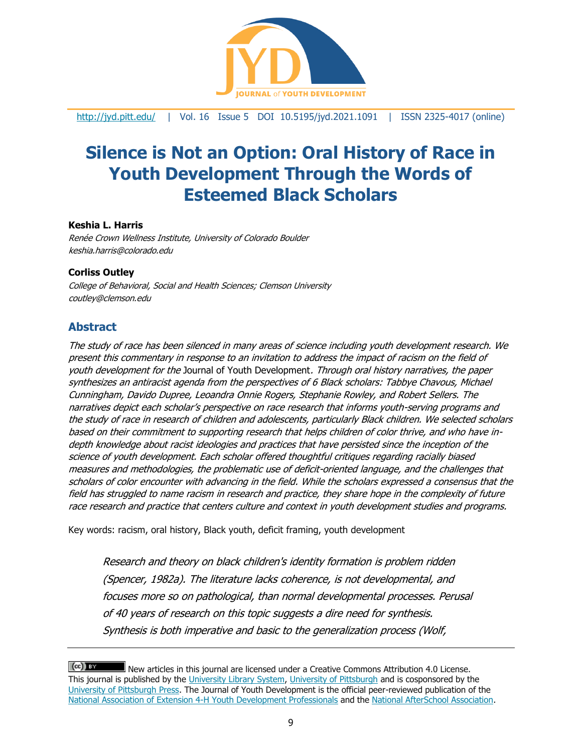

<http://jyd.pitt.edu/> | Vol. 16 Issue 5 DOI 10.5195/jyd.2021.1091 | ISSN 2325-4017 (online)

# **Silence is Not an Option: Oral History of Race in Youth Development Through the Words of Esteemed Black Scholars**

### **Keshia L. Harris**

Renée Crown Wellness Institute, University of Colorado Boulder keshia.harris@colorado.edu

### **Corliss Outley**

College of Behavioral, Social and Health Sciences; Clemson University coutley@clemson.edu

### **Abstract**

The study of race has been silenced in many areas of science including youth development research. We present this commentary in response to an invitation to address the impact of racism on the field of youth development for the Journal of Youth Development. Through oral history narratives, the paper synthesizes an antiracist agenda from the perspectives of 6 Black scholars: Tabbye Chavous, Michael Cunningham, Davido Dupree, Leoandra Onnie Rogers, Stephanie Rowley, and Robert Sellers. The narratives depict each scholar's perspective on race research that informs youth-serving programs and the study of race in research of children and adolescents, particularly Black children. We selected scholars based on their commitment to supporting research that helps children of color thrive, and who have indepth knowledge about racist ideologies and practices that have persisted since the inception of the science of youth development. Each scholar offered thoughtful critiques regarding racially biased measures and methodologies, the problematic use of deficit-oriented language, and the challenges that scholars of color encounter with advancing in the field. While the scholars expressed a consensus that the field has struggled to name racism in research and practice, they share hope in the complexity of future race research and practice that centers culture and context in youth development studies and programs.

Key words: racism, oral history, Black youth, deficit framing, youth development

Research and theory on black children's identity formation is problem ridden (Spencer, 1982a). The literature lacks coherence, is not developmental, and focuses more so on pathological, than normal developmental processes. Perusal of 40 years of research on this topic suggests a dire need for synthesis. Synthesis is both imperative and basic to the generalization process (Wolf,

 $(cc)$  By New articles in this journal are licensed under a Creative Commons Attribution 4.0 License. This journal is published by the [University Library System,](http://www.library.pitt.edu/) [University of Pittsburgh](http://www.pitt.edu/) and is cosponsored by the [University of Pittsburgh Press.](http://www.upress.pitt.edu/upressIndex.aspx) The Journal of Youth Development is the official peer-reviewed publication of the [National Association of Extension 4-H Youth Development Professionals](http://www.nae4ha.com/) and the [National AfterSchool Association.](http://naaweb.org/)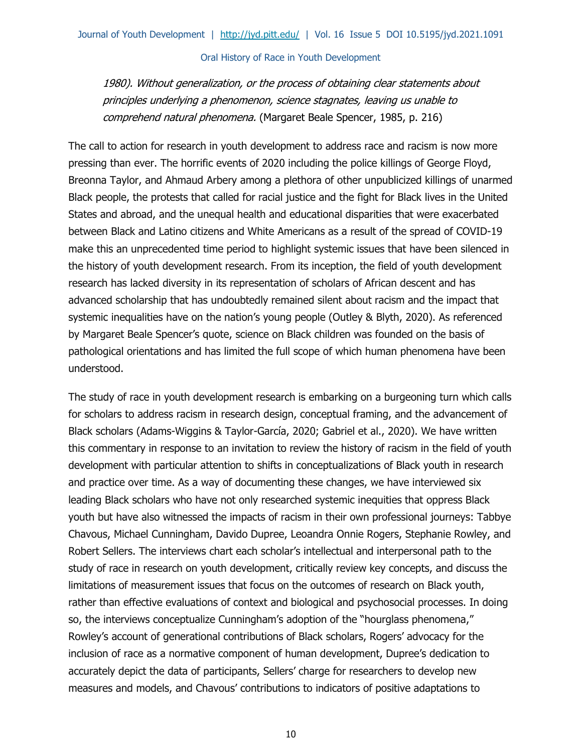1980). Without generalization, or the process of obtaining clear statements about principles underlying a phenomenon, science stagnates, leaving us unable to comprehend natural phenomena. (Margaret Beale Spencer, 1985, p. 216)

The call to action for research in youth development to address race and racism is now more pressing than ever. The horrific events of 2020 including the police killings of George Floyd, Breonna Taylor, and Ahmaud Arbery among a plethora of other unpublicized killings of unarmed Black people, the protests that called for racial justice and the fight for Black lives in the United States and abroad, and the unequal health and educational disparities that were exacerbated between Black and Latino citizens and White Americans as a result of the spread of COVID-19 make this an unprecedented time period to highlight systemic issues that have been silenced in the history of youth development research. From its inception, the field of youth development research has lacked diversity in its representation of scholars of African descent and has advanced scholarship that has undoubtedly remained silent about racism and the impact that systemic inequalities have on the nation's young people (Outley & Blyth, 2020). As referenced by Margaret Beale Spencer's quote, science on Black children was founded on the basis of pathological orientations and has limited the full scope of which human phenomena have been understood.

The study of race in youth development research is embarking on a burgeoning turn which calls for scholars to address racism in research design, conceptual framing, and the advancement of Black scholars (Adams-Wiggins & Taylor-García, 2020; Gabriel et al., 2020). We have written this commentary in response to an invitation to review the history of racism in the field of youth development with particular attention to shifts in conceptualizations of Black youth in research and practice over time. As a way of documenting these changes, we have interviewed six leading Black scholars who have not only researched systemic inequities that oppress Black youth but have also witnessed the impacts of racism in their own professional journeys: Tabbye Chavous, Michael Cunningham, Davido Dupree, Leoandra Onnie Rogers, Stephanie Rowley, and Robert Sellers. The interviews chart each scholar's intellectual and interpersonal path to the study of race in research on youth development, critically review key concepts, and discuss the limitations of measurement issues that focus on the outcomes of research on Black youth, rather than effective evaluations of context and biological and psychosocial processes. In doing so, the interviews conceptualize Cunningham's adoption of the "hourglass phenomena," Rowley's account of generational contributions of Black scholars, Rogers' advocacy for the inclusion of race as a normative component of human development, Dupree's dedication to accurately depict the data of participants, Sellers' charge for researchers to develop new measures and models, and Chavous' contributions to indicators of positive adaptations to

10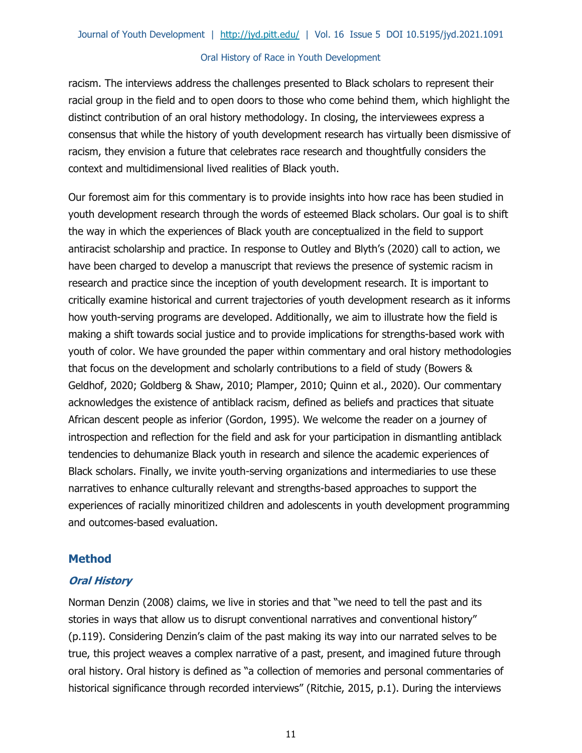racism. The interviews address the challenges presented to Black scholars to represent their racial group in the field and to open doors to those who come behind them, which highlight the distinct contribution of an oral history methodology. In closing, the interviewees express a consensus that while the history of youth development research has virtually been dismissive of racism, they envision a future that celebrates race research and thoughtfully considers the context and multidimensional lived realities of Black youth.

Our foremost aim for this commentary is to provide insights into how race has been studied in youth development research through the words of esteemed Black scholars. Our goal is to shift the way in which the experiences of Black youth are conceptualized in the field to support antiracist scholarship and practice. In response to Outley and Blyth's (2020) call to action, we have been charged to develop a manuscript that reviews the presence of systemic racism in research and practice since the inception of youth development research. It is important to critically examine historical and current trajectories of youth development research as it informs how youth-serving programs are developed. Additionally, we aim to illustrate how the field is making a shift towards social justice and to provide implications for strengths-based work with youth of color. We have grounded the paper within commentary and oral history methodologies that focus on the development and scholarly contributions to a field of study (Bowers & Geldhof, 2020; Goldberg & Shaw, 2010; Plamper, 2010; Quinn et al., 2020). Our commentary acknowledges the existence of antiblack racism, defined as beliefs and practices that situate African descent people as inferior (Gordon, 1995). We welcome the reader on a journey of introspection and reflection for the field and ask for your participation in dismantling antiblack tendencies to dehumanize Black youth in research and silence the academic experiences of Black scholars. Finally, we invite youth-serving organizations and intermediaries to use these narratives to enhance culturally relevant and strengths-based approaches to support the experiences of racially minoritized children and adolescents in youth development programming and outcomes-based evaluation.

# **Method**

### **Oral History**

Norman Denzin (2008) claims, we live in stories and that "we need to tell the past and its stories in ways that allow us to disrupt conventional narratives and conventional history" (p.119). Considering Denzin's claim of the past making its way into our narrated selves to be true, this project weaves a complex narrative of a past, present, and imagined future through oral history. Oral history is defined as "a collection of memories and personal commentaries of historical significance through recorded interviews" (Ritchie, 2015, p.1). During the interviews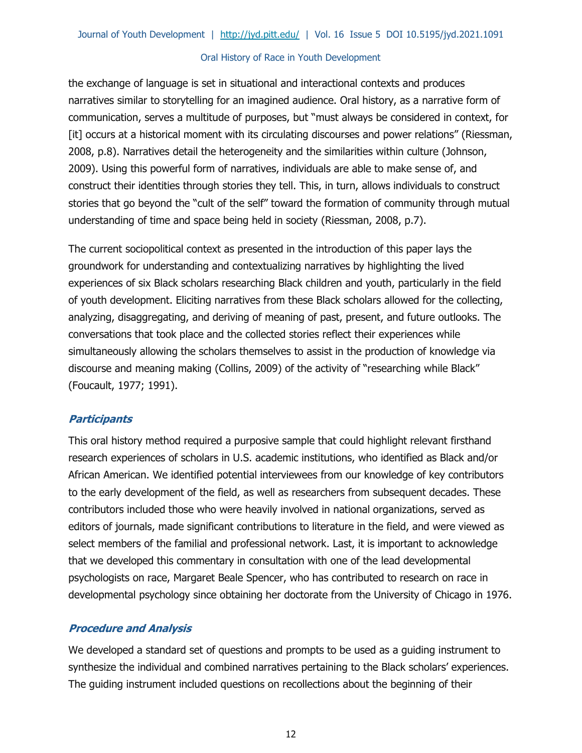the exchange of language is set in situational and interactional contexts and produces narratives similar to storytelling for an imagined audience. Oral history, as a narrative form of communication, serves a multitude of purposes, but "must always be considered in context, for [it] occurs at a historical moment with its circulating discourses and power relations" (Riessman, 2008, p.8). Narratives detail the heterogeneity and the similarities within culture (Johnson, 2009). Using this powerful form of narratives, individuals are able to make sense of, and construct their identities through stories they tell. This, in turn, allows individuals to construct stories that go beyond the "cult of the self" toward the formation of community through mutual understanding of time and space being held in society (Riessman, 2008, p.7).

The current sociopolitical context as presented in the introduction of this paper lays the groundwork for understanding and contextualizing narratives by highlighting the lived experiences of six Black scholars researching Black children and youth, particularly in the field of youth development. Eliciting narratives from these Black scholars allowed for the collecting, analyzing, disaggregating, and deriving of meaning of past, present, and future outlooks. The conversations that took place and the collected stories reflect their experiences while simultaneously allowing the scholars themselves to assist in the production of knowledge via discourse and meaning making (Collins, 2009) of the activity of "researching while Black" (Foucault, 1977; 1991).

# **Participants**

This oral history method required a purposive sample that could highlight relevant firsthand research experiences of scholars in U.S. academic institutions, who identified as Black and/or African American. We identified potential interviewees from our knowledge of key contributors to the early development of the field, as well as researchers from subsequent decades. These contributors included those who were heavily involved in national organizations, served as editors of journals, made significant contributions to literature in the field, and were viewed as select members of the familial and professional network. Last, it is important to acknowledge that we developed this commentary in consultation with one of the lead developmental psychologists on race, Margaret Beale Spencer, who has contributed to research on race in developmental psychology since obtaining her doctorate from the University of Chicago in 1976.

# **Procedure and Analysis**

We developed a standard set of questions and prompts to be used as a guiding instrument to synthesize the individual and combined narratives pertaining to the Black scholars' experiences. The guiding instrument included questions on recollections about the beginning of their

12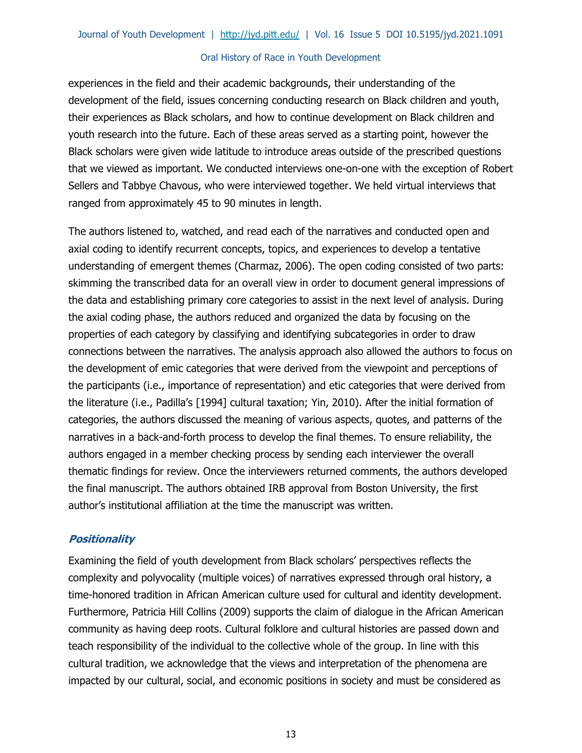experiences in the field and their academic backgrounds, their understanding of the development of the field, issues concerning conducting research on Black children and youth, their experiences as Black scholars, and how to continue development on Black children and youth research into the future. Each of these areas served as a starting point, however the Black scholars were given wide latitude to introduce areas outside of the prescribed questions that we viewed as important. We conducted interviews one-on-one with the exception of Robert Sellers and Tabbye Chavous, who were interviewed together. We held virtual interviews that ranged from approximately 45 to 90 minutes in length.

The authors listened to, watched, and read each of the narratives and conducted open and axial coding to identify recurrent concepts, topics, and experiences to develop a tentative understanding of emergent themes (Charmaz, 2006). The open coding consisted of two parts: skimming the transcribed data for an overall view in order to document general impressions of the data and establishing primary core categories to assist in the next level of analysis. During the axial coding phase, the authors reduced and organized the data by focusing on the properties of each category by classifying and identifying subcategories in order to draw connections between the narratives. The analysis approach also allowed the authors to focus on the development of emic categories that were derived from the viewpoint and perceptions of the participants (i.e., importance of representation) and etic categories that were derived from the literature (i.e., Padilla's [1994] cultural taxation; Yin, 2010). After the initial formation of categories, the authors discussed the meaning of various aspects, quotes, and patterns of the narratives in a back-and-forth process to develop the final themes. To ensure reliability, the authors engaged in a member checking process by sending each interviewer the overall thematic findings for review. Once the interviewers returned comments, the authors developed the final manuscript. The authors obtained IRB approval from Boston University, the first author's institutional affiliation at the time the manuscript was written.

# **Positionality**

Examining the field of youth development from Black scholars' perspectives reflects the complexity and polyvocality (multiple voices) of narratives expressed through oral history, a time-honored tradition in African American culture used for cultural and identity development. Furthermore, Patricia Hill Collins (2009) supports the claim of dialogue in the African American community as having deep roots. Cultural folklore and cultural histories are passed down and teach responsibility of the individual to the collective whole of the group. In line with this cultural tradition, we acknowledge that the views and interpretation of the phenomena are impacted by our cultural, social, and economic positions in society and must be considered as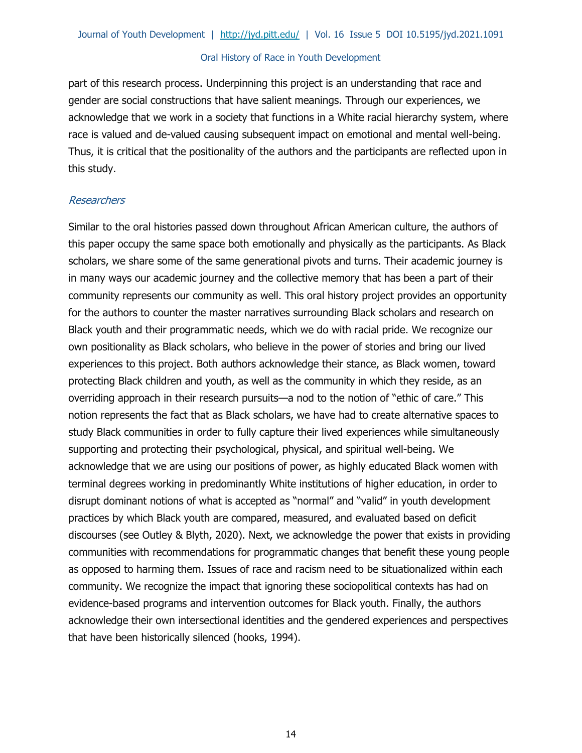part of this research process. Underpinning this project is an understanding that race and gender are social constructions that have salient meanings. Through our experiences, we acknowledge that we work in a society that functions in a White racial hierarchy system, where race is valued and de-valued causing subsequent impact on emotional and mental well-being. Thus, it is critical that the positionality of the authors and the participants are reflected upon in this study.

### Researchers

Similar to the oral histories passed down throughout African American culture, the authors of this paper occupy the same space both emotionally and physically as the participants. As Black scholars, we share some of the same generational pivots and turns. Their academic journey is in many ways our academic journey and the collective memory that has been a part of their community represents our community as well. This oral history project provides an opportunity for the authors to counter the master narratives surrounding Black scholars and research on Black youth and their programmatic needs, which we do with racial pride. We recognize our own positionality as Black scholars, who believe in the power of stories and bring our lived experiences to this project. Both authors acknowledge their stance, as Black women, toward protecting Black children and youth, as well as the community in which they reside, as an overriding approach in their research pursuits—a nod to the notion of "ethic of care." This notion represents the fact that as Black scholars, we have had to create alternative spaces to study Black communities in order to fully capture their lived experiences while simultaneously supporting and protecting their psychological, physical, and spiritual well-being. We acknowledge that we are using our positions of power, as highly educated Black women with terminal degrees working in predominantly White institutions of higher education, in order to disrupt dominant notions of what is accepted as "normal" and "valid" in youth development practices by which Black youth are compared, measured, and evaluated based on deficit discourses (see Outley & Blyth, 2020). Next, we acknowledge the power that exists in providing communities with recommendations for programmatic changes that benefit these young people as opposed to harming them. Issues of race and racism need to be situationalized within each community. We recognize the impact that ignoring these sociopolitical contexts has had on evidence-based programs and intervention outcomes for Black youth. Finally, the authors acknowledge their own intersectional identities and the gendered experiences and perspectives that have been historically silenced (hooks, 1994).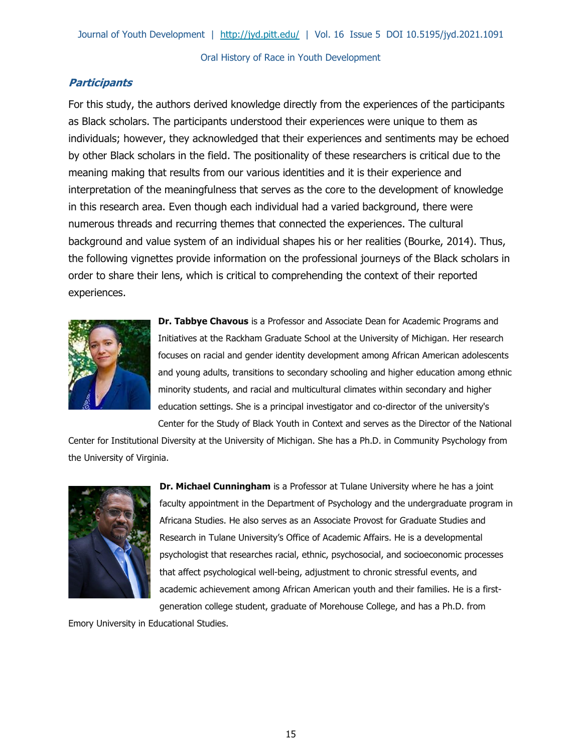# **Participants**

For this study, the authors derived knowledge directly from the experiences of the participants as Black scholars. The participants understood their experiences were unique to them as individuals; however, they acknowledged that their experiences and sentiments may be echoed by other Black scholars in the field. The positionality of these researchers is critical due to the meaning making that results from our various identities and it is their experience and interpretation of the meaningfulness that serves as the core to the development of knowledge in this research area. Even though each individual had a varied background, there were numerous threads and recurring themes that connected the experiences. The cultural background and value system of an individual shapes his or her realities (Bourke, 2014). Thus, the following vignettes provide information on the professional journeys of the Black scholars in order to share their lens, which is critical to comprehending the context of their reported experiences.



**Dr. Tabbye Chavous** is a Professor and Associate Dean for Academic Programs and Initiatives at the Rackham Graduate School at the University of Michigan. Her research focuses on racial and gender identity development among African American adolescents and young adults, transitions to secondary schooling and higher education among ethnic minority students, and racial and multicultural climates within secondary and higher education settings. She is a principal investigator and co-director of the university's Center for the Study of Black Youth in Context and serves as the Director of the National

Center for Institutional Diversity at the University of Michigan. She has a Ph.D. in Community Psychology from the University of Virginia.



**Dr. Michael Cunningham** is a Professor at Tulane University where he has a joint faculty appointment in the Department of Psychology and the undergraduate program in Africana Studies. He also serves as an Associate Provost for Graduate Studies and Research in Tulane University's Office of Academic Affairs. He is a developmental psychologist that researches racial, ethnic, psychosocial, and socioeconomic processes that affect psychological well‐being, adjustment to chronic stressful events, and academic achievement among African American youth and their families. He is a firstgeneration college student, graduate of Morehouse College, and has a Ph.D. from

Emory University in Educational Studies.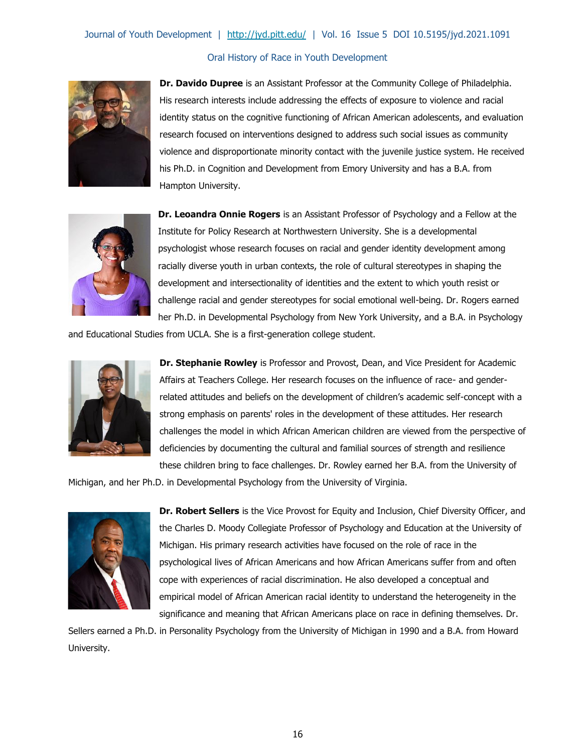

**Dr. Davido Dupree** is an Assistant Professor at the Community College of Philadelphia. His research interests include addressing the effects of exposure to violence and racial identity status on the cognitive functioning of African American adolescents, and evaluation research focused on interventions designed to address such social issues as community violence and disproportionate minority contact with the juvenile justice system. He received his Ph.D. in Cognition and Development from Emory University and has a B.A. from Hampton University.



**Dr. Leoandra Onnie Rogers** is an Assistant Professor of Psychology and a Fellow at the Institute for Policy Research at Northwestern University. She is a developmental psychologist whose research focuses on racial and gender identity development among racially diverse youth in urban contexts, the role of cultural stereotypes in shaping the development and intersectionality of identities and the extent to which youth resist or challenge racial and gender stereotypes for social emotional well-being. Dr. Rogers earned her Ph.D. in Developmental Psychology from New York University, and a B.A. in Psychology

and Educational Studies from UCLA. She is a first-generation college student.



**Dr. Stephanie Rowley** is Professor and Provost, Dean, and Vice President for Academic Affairs at Teachers College. Her research focuses on the influence of race- and genderrelated attitudes and beliefs on the development of children's academic self-concept with a strong emphasis on parents' roles in the development of these attitudes. Her research challenges the model in which African American children are viewed from the perspective of deficiencies by documenting the cultural and familial sources of strength and resilience these children bring to face challenges. Dr. Rowley earned her B.A. from the University of

Michigan, and her Ph.D. in Developmental Psychology from the University of Virginia.



**Dr. Robert Sellers** is the Vice Provost for Equity and Inclusion, Chief Diversity Officer, and the Charles D. Moody Collegiate Professor of Psychology and Education at the University of Michigan. His primary research activities have focused on the role of race in the psychological lives of African Americans and how African Americans suffer from and often cope with experiences of racial discrimination. He also developed a conceptual and empirical model of African American racial identity to understand the heterogeneity in the significance and meaning that African Americans place on race in defining themselves. Dr.

Sellers earned a Ph.D. in Personality Psychology from the University of Michigan in 1990 and a B.A. from Howard University.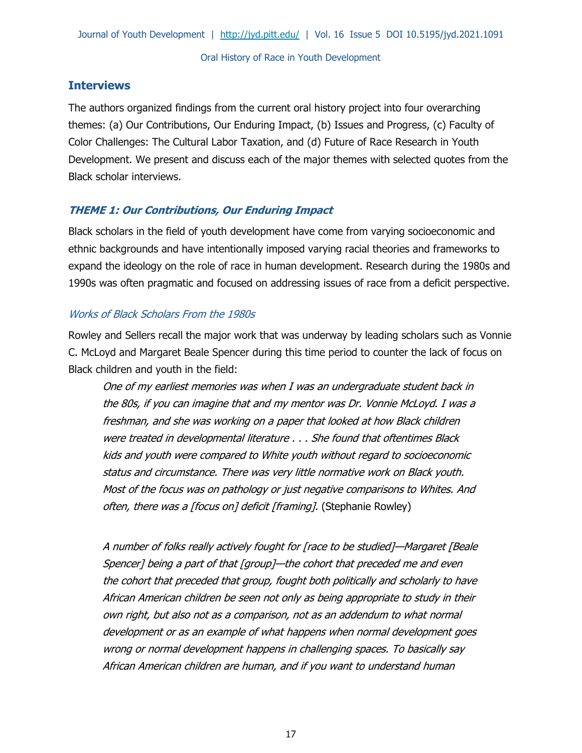# **Interviews**

The authors organized findings from the current oral history project into four overarching themes: (a) Our Contributions, Our Enduring Impact, (b) Issues and Progress, (c) Faculty of Color Challenges: The Cultural Labor Taxation, and (d) Future of Race Research in Youth Development. We present and discuss each of the major themes with selected quotes from the Black scholar interviews.

# **THEME 1: Our Contributions, Our Enduring Impact**

Black scholars in the field of youth development have come from varying socioeconomic and ethnic backgrounds and have intentionally imposed varying racial theories and frameworks to expand the ideology on the role of race in human development. Research during the 1980s and 1990s was often pragmatic and focused on addressing issues of race from a deficit perspective.

### Works of Black Scholars From the 1980s

Rowley and Sellers recall the major work that was underway by leading scholars such as Vonnie C. McLoyd and Margaret Beale Spencer during this time period to counter the lack of focus on Black children and youth in the field:

One of my earliest memories was when I was an undergraduate student back in the 80s, if you can imagine that and my mentor was Dr. Vonnie McLoyd. I was a freshman, and she was working on a paper that looked at how Black children were treated in developmental literature . . . She found that oftentimes Black kids and youth were compared to White youth without regard to socioeconomic status and circumstance. There was very little normative work on Black youth. Most of the focus was on pathology or just negative comparisons to Whites. And often, there was a [focus on] deficit [framing]. (Stephanie Rowley)

A number of folks really actively fought for [race to be studied]—Margaret [Beale Spencer] being a part of that [group]—the cohort that preceded me and even the cohort that preceded that group, fought both politically and scholarly to have African American children be seen not only as being appropriate to study in their own right, but also not as a comparison, not as an addendum to what normal development or as an example of what happens when normal development goes wrong or normal development happens in challenging spaces. To basically say African American children are human, and if you want to understand human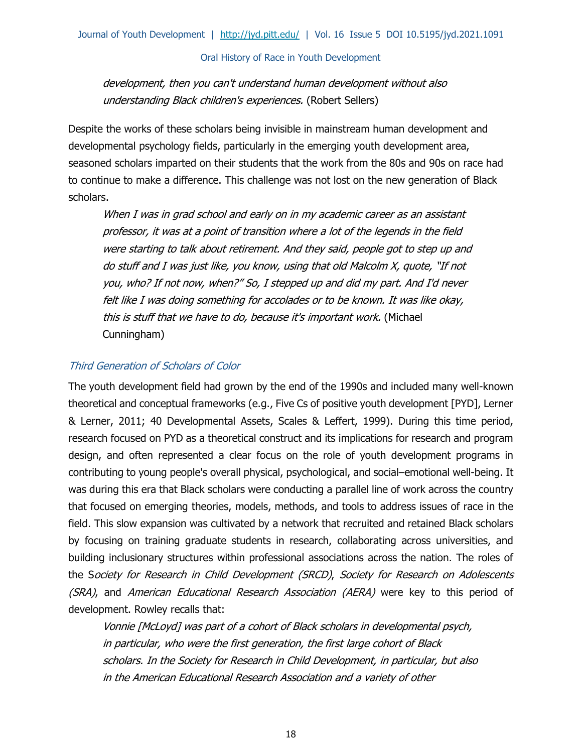# development, then you can't understand human development without also understanding Black children's experiences. (Robert Sellers)

Despite the works of these scholars being invisible in mainstream human development and developmental psychology fields, particularly in the emerging youth development area, seasoned scholars imparted on their students that the work from the 80s and 90s on race had to continue to make a difference. This challenge was not lost on the new generation of Black scholars.

When I was in grad school and early on in my academic career as an assistant professor, it was at a point of transition where a lot of the legends in the field were starting to talk about retirement. And they said, people got to step up and do stuff and I was just like, you know, using that old Malcolm X, quote, "If not you, who? If not now, when?" So, I stepped up and did my part. And I'd never felt like I was doing something for accolades or to be known. It was like okay, this is stuff that we have to do, because it's important work. (Michael Cunningham)

### Third Generation of Scholars of Color

The youth development field had grown by the end of the 1990s and included many well-known theoretical and conceptual frameworks (e.g., Five Cs of positive youth development [PYD], Lerner & Lerner, 2011; 40 Developmental Assets, Scales & Leffert, 1999). During this time period, research focused on PYD as a theoretical construct and its implications for research and program design, and often represented a clear focus on the role of youth development programs in contributing to young people's overall physical, psychological, and social–emotional well-being. It was during this era that Black scholars were conducting a parallel line of work across the country that focused on emerging theories, models, methods, and tools to address issues of race in the field. This slow expansion was cultivated by a network that recruited and retained Black scholars by focusing on training graduate students in research, collaborating across universities, and building inclusionary structures within professional associations across the nation. The roles of the Society for Research in Child Development (SRCD), Society for Research on Adolescents (SRA), and American Educational Research Association (AERA) were key to this period of development. Rowley recalls that:

Vonnie [McLoyd] was part of a cohort of Black scholars in developmental psych, in particular, who were the first generation, the first large cohort of Black scholars. In the Society for Research in Child Development, in particular, but also in the American Educational Research Association and a variety of other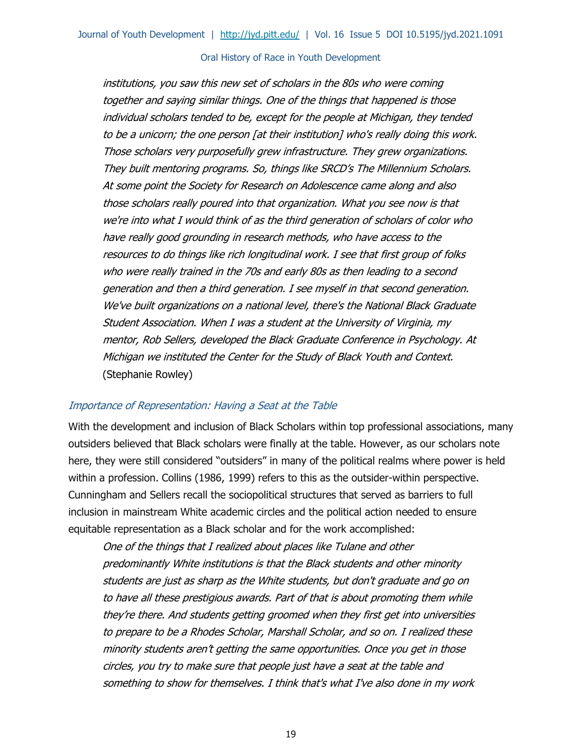institutions, you saw this new set of scholars in the 80s who were coming together and saying similar things. One of the things that happened is those individual scholars tended to be, except for the people at Michigan, they tended to be a unicorn; the one person [at their institution] who's really doing this work. Those scholars very purposefully grew infrastructure. They grew organizations. They built mentoring programs. So, things like SRCD's The Millennium Scholars. At some point the Society for Research on Adolescence came along and also those scholars really poured into that organization. What you see now is that we're into what I would think of as the third generation of scholars of color who have really good grounding in research methods, who have access to the resources to do things like rich longitudinal work. I see that first group of folks who were really trained in the 70s and early 80s as then leading to a second generation and then a third generation. I see myself in that second generation. We've built organizations on a national level, there's the National Black Graduate Student Association. When I was a student at the University of Virginia, my mentor, Rob Sellers, developed the Black Graduate Conference in Psychology. At Michigan we instituted the Center for the Study of Black Youth and Context. (Stephanie Rowley)

#### Importance of Representation: Having a Seat at the Table

With the development and inclusion of Black Scholars within top professional associations, many outsiders believed that Black scholars were finally at the table. However, as our scholars note here, they were still considered "outsiders" in many of the political realms where power is held within a profession. Collins (1986, 1999) refers to this as the outsider-within perspective. Cunningham and Sellers recall the sociopolitical structures that served as barriers to full inclusion in mainstream White academic circles and the political action needed to ensure equitable representation as a Black scholar and for the work accomplished:

One of the things that I realized about places like Tulane and other predominantly White institutions is that the Black students and other minority students are just as sharp as the White students, but don't graduate and go on to have all these prestigious awards. Part of that is about promoting them while they're there. And students getting groomed when they first get into universities to prepare to be a Rhodes Scholar, Marshall Scholar, and so on. I realized these minority students aren't getting the same opportunities. Once you get in those circles, you try to make sure that people just have a seat at the table and something to show for themselves. I think that's what I've also done in my work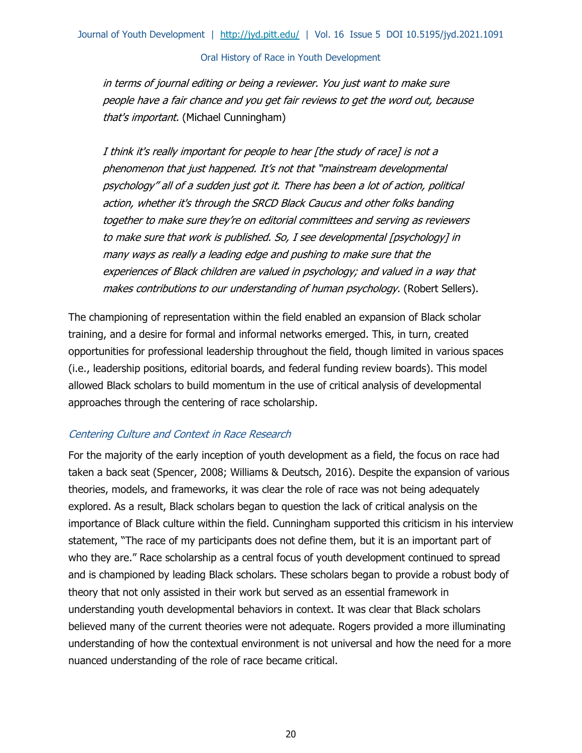in terms of journal editing or being a reviewer. You just want to make sure people have a fair chance and you get fair reviews to get the word out, because that's important. (Michael Cunningham)

I think it's really important for people to hear [the study of race] is not a phenomenon that just happened. It's not that "mainstream developmental psychology" all of a sudden just got it. There has been a lot of action, political action, whether it's through the SRCD Black Caucus and other folks banding together to make sure they're on editorial committees and serving as reviewers to make sure that work is published. So, I see developmental [psychology] in many ways as really a leading edge and pushing to make sure that the experiences of Black children are valued in psychology; and valued in a way that makes contributions to our understanding of human psychology. (Robert Sellers).

The championing of representation within the field enabled an expansion of Black scholar training, and a desire for formal and informal networks emerged. This, in turn, created opportunities for professional leadership throughout the field, though limited in various spaces (i.e., leadership positions, editorial boards, and federal funding review boards). This model allowed Black scholars to build momentum in the use of critical analysis of developmental approaches through the centering of race scholarship.

# Centering Culture and Context in Race Research

For the majority of the early inception of youth development as a field, the focus on race had taken a back seat (Spencer, 2008; Williams & Deutsch, 2016). Despite the expansion of various theories, models, and frameworks, it was clear the role of race was not being adequately explored. As a result, Black scholars began to question the lack of critical analysis on the importance of Black culture within the field. Cunningham supported this criticism in his interview statement, "The race of my participants does not define them, but it is an important part of who they are." Race scholarship as a central focus of youth development continued to spread and is championed by leading Black scholars. These scholars began to provide a robust body of theory that not only assisted in their work but served as an essential framework in understanding youth developmental behaviors in context. It was clear that Black scholars believed many of the current theories were not adequate. Rogers provided a more illuminating understanding of how the contextual environment is not universal and how the need for a more nuanced understanding of the role of race became critical.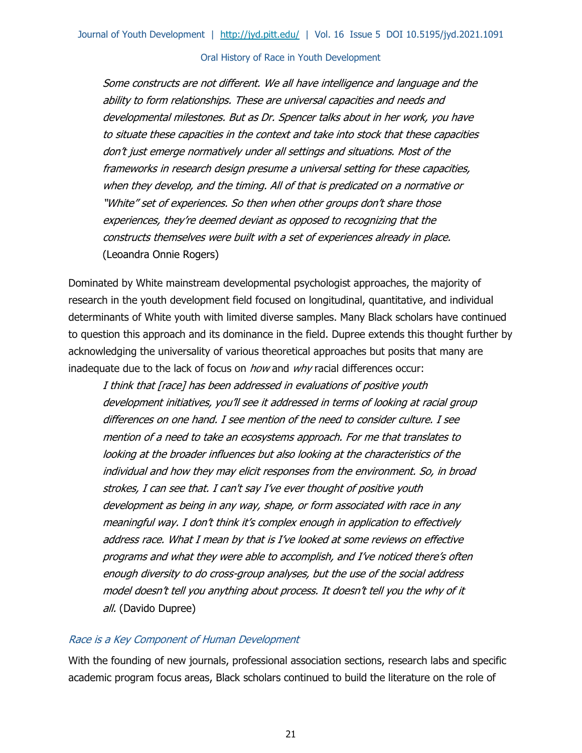Some constructs are not different. We all have intelligence and language and the ability to form relationships. These are universal capacities and needs and developmental milestones. But as Dr. Spencer talks about in her work, you have to situate these capacities in the context and take into stock that these capacities don't just emerge normatively under all settings and situations. Most of the frameworks in research design presume a universal setting for these capacities, when they develop, and the timing. All of that is predicated on a normative or "White" set of experiences. So then when other groups don't share those experiences, they're deemed deviant as opposed to recognizing that the constructs themselves were built with a set of experiences already in place. (Leoandra Onnie Rogers)

Dominated by White mainstream developmental psychologist approaches, the majority of research in the youth development field focused on longitudinal, quantitative, and individual determinants of White youth with limited diverse samples. Many Black scholars have continued to question this approach and its dominance in the field. Dupree extends this thought further by acknowledging the universality of various theoretical approaches but posits that many are inadequate due to the lack of focus on *how* and *why* racial differences occur:

I think that [race] has been addressed in evaluations of positive youth development initiatives, you'll see it addressed in terms of looking at racial group differences on one hand. I see mention of the need to consider culture. I see mention of a need to take an ecosystems approach. For me that translates to looking at the broader influences but also looking at the characteristics of the individual and how they may elicit responses from the environment. So, in broad strokes, I can see that. I can't say I've ever thought of positive youth development as being in any way, shape, or form associated with race in any meaningful way. I don't think it's complex enough in application to effectively address race. What I mean by that is I've looked at some reviews on effective programs and what they were able to accomplish, and I've noticed there's often enough diversity to do cross-group analyses, but the use of the social address model doesn't tell you anything about process. It doesn't tell you the why of it all. (Davido Dupree)

### Race is a Key Component of Human Development

With the founding of new journals, professional association sections, research labs and specific academic program focus areas, Black scholars continued to build the literature on the role of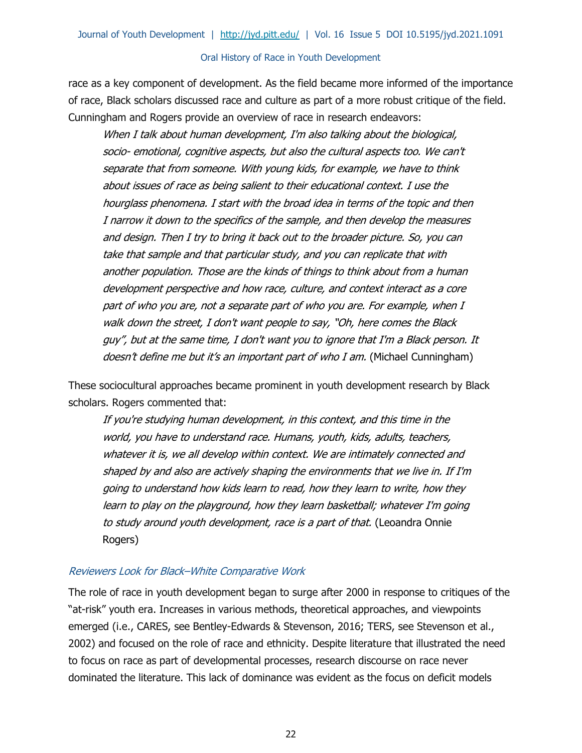race as a key component of development. As the field became more informed of the importance of race, Black scholars discussed race and culture as part of a more robust critique of the field. Cunningham and Rogers provide an overview of race in research endeavors:

When I talk about human development, I'm also talking about the biological, socio- emotional, cognitive aspects, but also the cultural aspects too. We can't separate that from someone. With young kids, for example, we have to think about issues of race as being salient to their educational context. I use the hourglass phenomena. I start with the broad idea in terms of the topic and then I narrow it down to the specifics of the sample, and then develop the measures and design. Then I try to bring it back out to the broader picture. So, you can take that sample and that particular study, and you can replicate that with another population. Those are the kinds of things to think about from a human development perspective and how race, culture, and context interact as a core part of who you are, not a separate part of who you are. For example, when I walk down the street, I don't want people to say, "Oh, here comes the Black guy", but at the same time, I don't want you to ignore that I'm a Black person. It doesn't define me but it's an important part of who I am. (Michael Cunningham)

These sociocultural approaches became prominent in youth development research by Black scholars. Rogers commented that:

If you're studying human development, in this context, and this time in the world, you have to understand race. Humans, youth, kids, adults, teachers, whatever it is, we all develop within context. We are intimately connected and shaped by and also are actively shaping the environments that we live in. If I'm going to understand how kids learn to read, how they learn to write, how they learn to play on the playground, how they learn basketball; whatever I'm going to study around youth development, race is a part of that. (Leoandra Onnie Rogers)

### Reviewers Look for Black–White Comparative Work

The role of race in youth development began to surge after 2000 in response to critiques of the "at-risk" youth era. Increases in various methods, theoretical approaches, and viewpoints emerged (i.e., CARES, see Bentley-Edwards & Stevenson, 2016; TERS, see Stevenson et al., 2002) and focused on the role of race and ethnicity. Despite literature that illustrated the need to focus on race as part of developmental processes, research discourse on race never dominated the literature. This lack of dominance was evident as the focus on deficit models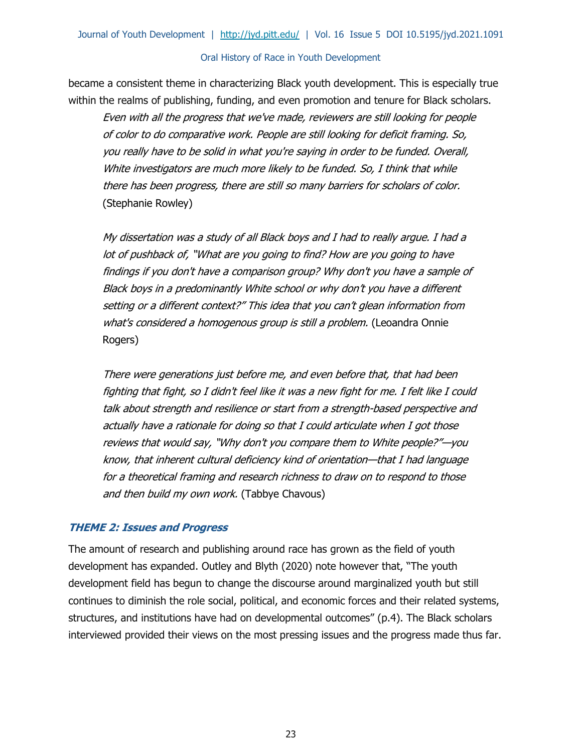became a consistent theme in characterizing Black youth development. This is especially true within the realms of publishing, funding, and even promotion and tenure for Black scholars.

Even with all the progress that we've made, reviewers are still looking for people of color to do comparative work. People are still looking for deficit framing. So, you really have to be solid in what you're saying in order to be funded. Overall, White investigators are much more likely to be funded. So, I think that while there has been progress, there are still so many barriers for scholars of color. (Stephanie Rowley)

My dissertation was a study of all Black boys and I had to really argue. I had a lot of pushback of, "What are you going to find? How are you going to have findings if you don't have a comparison group? Why don't you have a sample of Black boys in a predominantly White school or why don't you have a different setting or a different context?" This idea that you can't glean information from what's considered a homogenous group is still a problem. (Leoandra Onnie Rogers)

There were generations just before me, and even before that, that had been fighting that fight, so I didn't feel like it was a new fight for me. I felt like I could talk about strength and resilience or start from a strength-based perspective and actually have a rationale for doing so that I could articulate when I got those reviews that would say, "Why don't you compare them to White people?"—you know, that inherent cultural deficiency kind of orientation—that I had language for a theoretical framing and research richness to draw on to respond to those and then build my own work. (Tabbye Chavous)

### **THEME 2: Issues and Progress**

The amount of research and publishing around race has grown as the field of youth development has expanded. Outley and Blyth (2020) note however that, "The youth development field has begun to change the discourse around marginalized youth but still continues to diminish the role social, political, and economic forces and their related systems, structures, and institutions have had on developmental outcomes" (p.4). The Black scholars interviewed provided their views on the most pressing issues and the progress made thus far.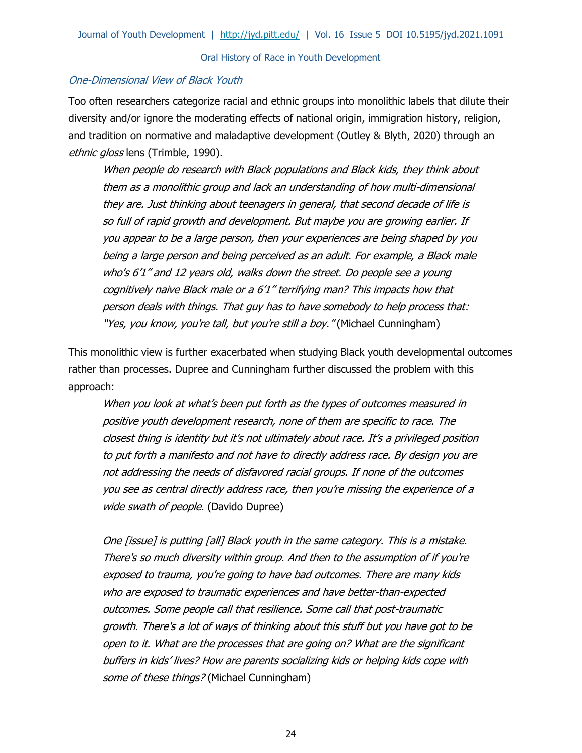### One-Dimensional View of Black Youth

Too often researchers categorize racial and ethnic groups into monolithic labels that dilute their diversity and/or ignore the moderating effects of national origin, immigration history, religion, and tradition on normative and maladaptive development (Outley & Blyth, 2020) through an ethnic gloss lens (Trimble, 1990).

When people do research with Black populations and Black kids, they think about them as a monolithic group and lack an understanding of how multi-dimensional they are. Just thinking about teenagers in general, that second decade of life is so full of rapid growth and development. But maybe you are growing earlier. If you appear to be a large person, then your experiences are being shaped by you being a large person and being perceived as an adult. For example, a Black male who's 6'1'' and 12 years old, walks down the street. Do people see a young cognitively naive Black male or a 6'1'' terrifying man? This impacts how that person deals with things. That guy has to have somebody to help process that: "Yes, you know, you're tall, but you're still a boy." (Michael Cunningham)

This monolithic view is further exacerbated when studying Black youth developmental outcomes rather than processes. Dupree and Cunningham further discussed the problem with this approach:

When you look at what's been put forth as the types of outcomes measured in positive youth development research, none of them are specific to race. The closest thing is identity but it's not ultimately about race. It's a privileged position to put forth a manifesto and not have to directly address race. By design you are not addressing the needs of disfavored racial groups. If none of the outcomes you see as central directly address race, then you're missing the experience of a wide swath of people. (Davido Dupree)

One [issue] is putting [all] Black youth in the same category. This is a mistake. There's so much diversity within group. And then to the assumption of if you're exposed to trauma, you're going to have bad outcomes. There are many kids who are exposed to traumatic experiences and have better-than-expected outcomes. Some people call that resilience. Some call that post-traumatic growth. There's a lot of ways of thinking about this stuff but you have got to be open to it. What are the processes that are going on? What are the significant buffers in kids' lives? How are parents socializing kids or helping kids cope with some of these things? (Michael Cunningham)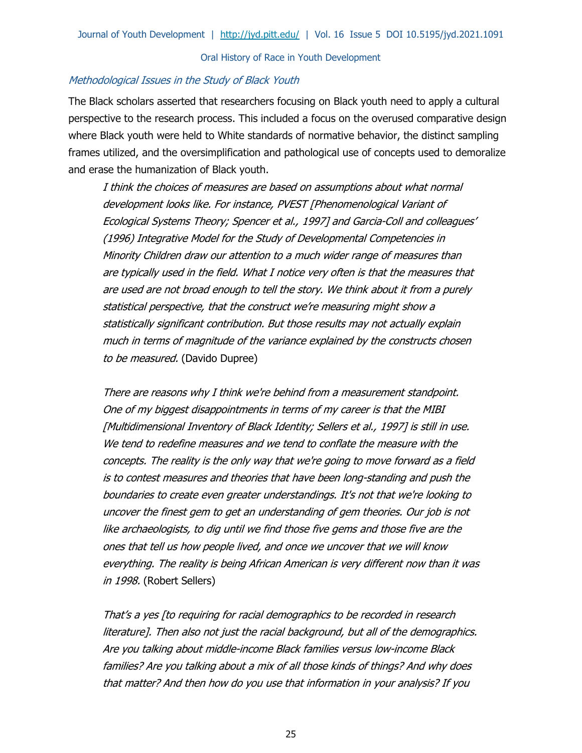#### Methodological Issues in the Study of Black Youth

The Black scholars asserted that researchers focusing on Black youth need to apply a cultural perspective to the research process. This included a focus on the overused comparative design where Black youth were held to White standards of normative behavior, the distinct sampling frames utilized, and the oversimplification and pathological use of concepts used to demoralize and erase the humanization of Black youth.

I think the choices of measures are based on assumptions about what normal development looks like. For instance, PVEST [Phenomenological Variant of Ecological Systems Theory; Spencer et al., 1997] and Garcia-Coll and colleagues' (1996) Integrative Model for the Study of Developmental Competencies in Minority Children draw our attention to a much wider range of measures than are typically used in the field. What I notice very often is that the measures that are used are not broad enough to tell the story. We think about it from a purely statistical perspective, that the construct we're measuring might show a statistically significant contribution. But those results may not actually explain much in terms of magnitude of the variance explained by the constructs chosen to be measured. (Davido Dupree)

There are reasons why I think we're behind from a measurement standpoint. One of my biggest disappointments in terms of my career is that the MIBI [Multidimensional Inventory of Black Identity; Sellers et al., 1997] is still in use. We tend to redefine measures and we tend to conflate the measure with the concepts. The reality is the only way that we're going to move forward as a field is to contest measures and theories that have been long-standing and push the boundaries to create even greater understandings. It's not that we're looking to uncover the finest gem to get an understanding of gem theories. Our job is not like archaeologists, to dig until we find those five gems and those five are the ones that tell us how people lived, and once we uncover that we will know everything. The reality is being African American is very different now than it was in 1998. (Robert Sellers)

That's a yes [to requiring for racial demographics to be recorded in research literature]. Then also not just the racial background, but all of the demographics. Are you talking about middle-income Black families versus low-income Black families? Are you talking about a mix of all those kinds of things? And why does that matter? And then how do you use that information in your analysis? If you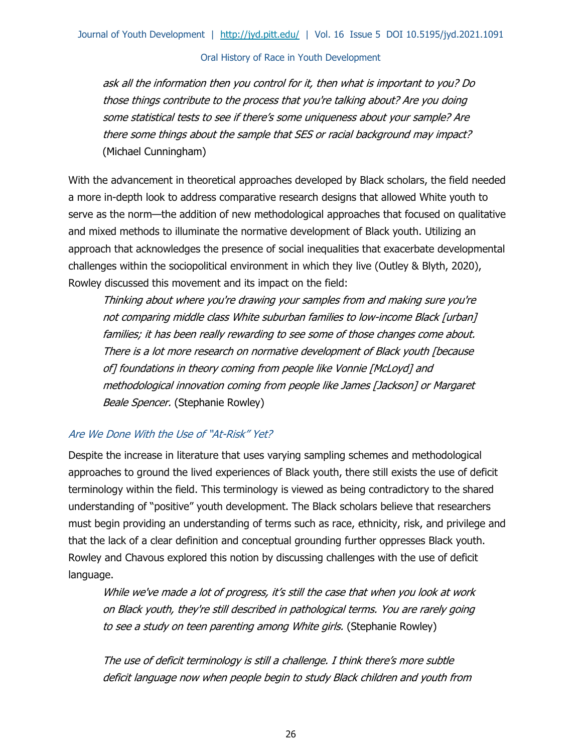ask all the information then you control for it, then what is important to you? Do those things contribute to the process that you're talking about? Are you doing some statistical tests to see if there's some uniqueness about your sample? Are there some things about the sample that SES or racial background may impact? (Michael Cunningham)

With the advancement in theoretical approaches developed by Black scholars, the field needed a more in-depth look to address comparative research designs that allowed White youth to serve as the norm—the addition of new methodological approaches that focused on qualitative and mixed methods to illuminate the normative development of Black youth. Utilizing an approach that acknowledges the presence of social inequalities that exacerbate developmental challenges within the sociopolitical environment in which they live (Outley & Blyth, 2020), Rowley discussed this movement and its impact on the field:

Thinking about where you're drawing your samples from and making sure you're not comparing middle class White suburban families to low-income Black [urban] families; it has been really rewarding to see some of those changes come about. There is a lot more research on normative development of Black youth [because of] foundations in theory coming from people like Vonnie [McLoyd] and methodological innovation coming from people like James [Jackson] or Margaret Beale Spencer. (Stephanie Rowley)

# Are We Done With the Use of "At-Risk" Yet?

Despite the increase in literature that uses varying sampling schemes and methodological approaches to ground the lived experiences of Black youth, there still exists the use of deficit terminology within the field. This terminology is viewed as being contradictory to the shared understanding of "positive" youth development. The Black scholars believe that researchers must begin providing an understanding of terms such as race, ethnicity, risk, and privilege and that the lack of a clear definition and conceptual grounding further oppresses Black youth. Rowley and Chavous explored this notion by discussing challenges with the use of deficit language.

While we've made a lot of progress, it's still the case that when you look at work on Black youth, they're still described in pathological terms. You are rarely going to see a study on teen parenting among White girls. (Stephanie Rowley)

The use of deficit terminology is still a challenge. I think there's more subtle deficit language now when people begin to study Black children and youth from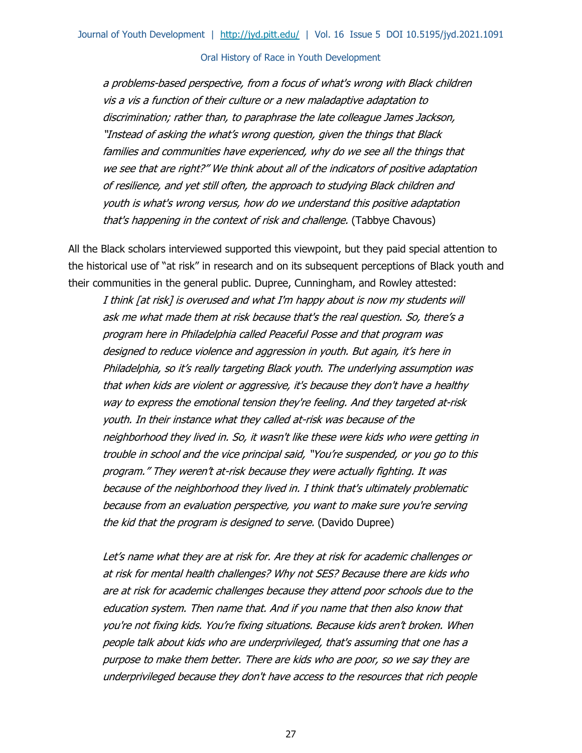a problems-based perspective, from a focus of what's wrong with Black children vis a vis a function of their culture or a new maladaptive adaptation to discrimination; rather than, to paraphrase the late colleague James Jackson, "Instead of asking the what's wrong question, given the things that Black families and communities have experienced, why do we see all the things that we see that are right?" We think about all of the indicators of positive adaptation of resilience, and yet still often, the approach to studying Black children and youth is what's wrong versus, how do we understand this positive adaptation that's happening in the context of risk and challenge. (Tabbye Chavous)

All the Black scholars interviewed supported this viewpoint, but they paid special attention to the historical use of "at risk" in research and on its subsequent perceptions of Black youth and their communities in the general public. Dupree, Cunningham, and Rowley attested:

I think [at risk] is overused and what I'm happy about is now my students will ask me what made them at risk because that's the real question. So, there's a program here in Philadelphia called Peaceful Posse and that program was designed to reduce violence and aggression in youth. But again, it's here in Philadelphia, so it's really targeting Black youth. The underlying assumption was that when kids are violent or aggressive, it's because they don't have a healthy way to express the emotional tension they're feeling. And they targeted at-risk youth. In their instance what they called at-risk was because of the neighborhood they lived in. So, it wasn't like these were kids who were getting in trouble in school and the vice principal said, "You're suspended, or you go to this program." They weren't at-risk because they were actually fighting. It was because of the neighborhood they lived in. I think that's ultimately problematic because from an evaluation perspective, you want to make sure you're serving the kid that the program is designed to serve. (Davido Dupree)

Let's name what they are at risk for. Are they at risk for academic challenges or at risk for mental health challenges? Why not SES? Because there are kids who are at risk for academic challenges because they attend poor schools due to the education system. Then name that. And if you name that then also know that you're not fixing kids. You're fixing situations. Because kids aren't broken. When people talk about kids who are underprivileged, that's assuming that one has a purpose to make them better. There are kids who are poor, so we say they are underprivileged because they don't have access to the resources that rich people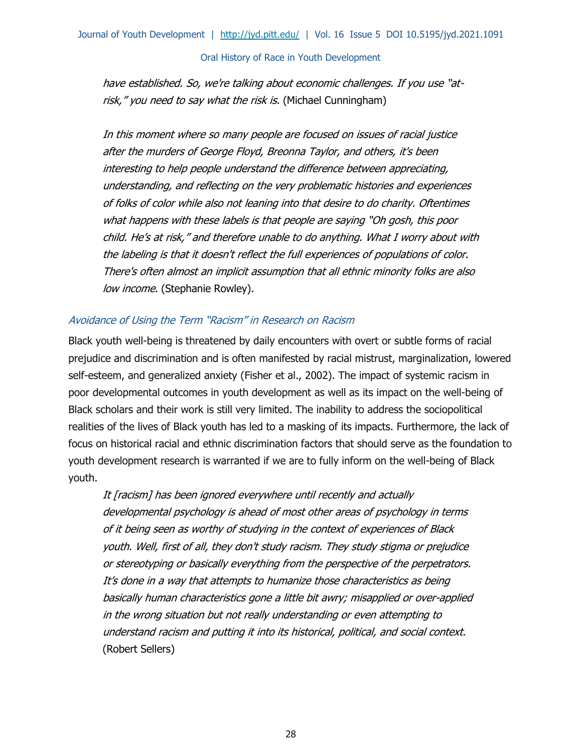have established. So, we're talking about economic challenges. If you use "atrisk," you need to say what the risk is. (Michael Cunningham)

In this moment where so many people are focused on issues of racial justice after the murders of George Floyd, Breonna Taylor, and others, it's been interesting to help people understand the difference between appreciating, understanding, and reflecting on the very problematic histories and experiences of folks of color while also not leaning into that desire to do charity. Oftentimes what happens with these labels is that people are saying "Oh gosh, this poor child. He's at risk," and therefore unable to do anything. What I worry about with the labeling is that it doesn't reflect the full experiences of populations of color. There's often almost an implicit assumption that all ethnic minority folks are also low income. (Stephanie Rowley).

### Avoidance of Using the Term "Racism" in Research on Racism

Black youth well-being is threatened by daily encounters with overt or subtle forms of racial prejudice and discrimination and is often manifested by racial mistrust, marginalization, lowered self-esteem, and generalized anxiety (Fisher et al., 2002). The impact of systemic racism in poor developmental outcomes in youth development as well as its impact on the well-being of Black scholars and their work is still very limited. The inability to address the sociopolitical realities of the lives of Black youth has led to a masking of its impacts. Furthermore, the lack of focus on historical racial and ethnic discrimination factors that should serve as the foundation to youth development research is warranted if we are to fully inform on the well-being of Black youth.

It [racism] has been ignored everywhere until recently and actually developmental psychology is ahead of most other areas of psychology in terms of it being seen as worthy of studying in the context of experiences of Black youth. Well, first of all, they don't study racism. They study stigma or prejudice or stereotyping or basically everything from the perspective of the perpetrators. It's done in a way that attempts to humanize those characteristics as being basically human characteristics gone a little bit awry; misapplied or over-applied in the wrong situation but not really understanding or even attempting to understand racism and putting it into its historical, political, and social context. (Robert Sellers)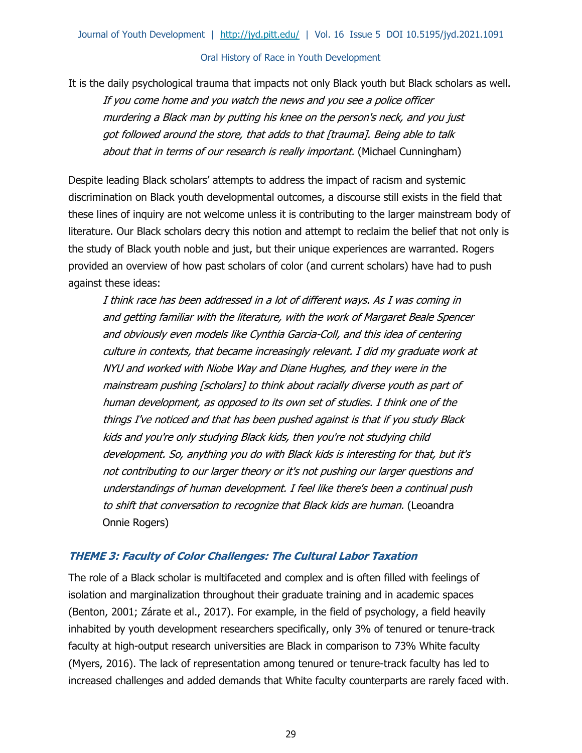It is the daily psychological trauma that impacts not only Black youth but Black scholars as well.

If you come home and you watch the news and you see a police officer murdering a Black man by putting his knee on the person's neck, and you just got followed around the store, that adds to that [trauma]. Being able to talk about that in terms of our research is really important. (Michael Cunningham)

Despite leading Black scholars' attempts to address the impact of racism and systemic discrimination on Black youth developmental outcomes, a discourse still exists in the field that these lines of inquiry are not welcome unless it is contributing to the larger mainstream body of literature. Our Black scholars decry this notion and attempt to reclaim the belief that not only is the study of Black youth noble and just, but their unique experiences are warranted. Rogers provided an overview of how past scholars of color (and current scholars) have had to push against these ideas:

I think race has been addressed in a lot of different ways. As I was coming in and getting familiar with the literature, with the work of Margaret Beale Spencer and obviously even models like Cynthia Garcia-Coll, and this idea of centering culture in contexts, that became increasingly relevant. I did my graduate work at NYU and worked with Niobe Way and Diane Hughes, and they were in the mainstream pushing [scholars] to think about racially diverse youth as part of human development, as opposed to its own set of studies. I think one of the things I've noticed and that has been pushed against is that if you study Black kids and you're only studying Black kids, then you're not studying child development. So, anything you do with Black kids is interesting for that, but it's not contributing to our larger theory or it's not pushing our larger questions and understandings of human development. I feel like there's been a continual push to shift that conversation to recognize that Black kids are human. (Leoandra Onnie Rogers)

# **THEME 3: Faculty of Color Challenges: The Cultural Labor Taxation**

The role of a Black scholar is multifaceted and complex and is often filled with feelings of isolation and marginalization throughout their graduate training and in academic spaces (Benton, 2001; Zárate et al., 2017). For example, in the field of psychology, a field heavily inhabited by youth development researchers specifically, only 3% of tenured or tenure-track faculty at high-output research universities are Black in comparison to 73% White faculty (Myers, 2016). The lack of representation among tenured or tenure-track faculty has led to increased challenges and added demands that White faculty counterparts are rarely faced with.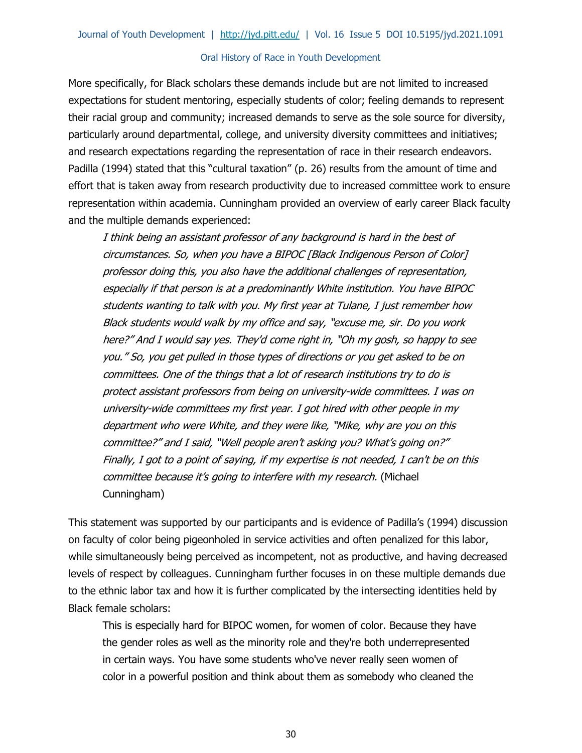More specifically, for Black scholars these demands include but are not limited to increased expectations for student mentoring, especially students of color; feeling demands to represent their racial group and community; increased demands to serve as the sole source for diversity, particularly around departmental, college, and university diversity committees and initiatives; and research expectations regarding the representation of race in their research endeavors. Padilla (1994) stated that this "cultural taxation" (p. 26) results from the amount of time and effort that is taken away from research productivity due to increased committee work to ensure representation within academia. Cunningham provided an overview of early career Black faculty and the multiple demands experienced:

I think being an assistant professor of any background is hard in the best of circumstances. So, when you have a BIPOC [Black Indigenous Person of Color] professor doing this, you also have the additional challenges of representation, especially if that person is at a predominantly White institution. You have BIPOC students wanting to talk with you. My first year at Tulane, I just remember how Black students would walk by my office and say, "excuse me, sir. Do you work here?" And I would say yes. They'd come right in, "Oh my gosh, so happy to see you." So, you get pulled in those types of directions or you get asked to be on committees. One of the things that a lot of research institutions try to do is protect assistant professors from being on university-wide committees. I was on university-wide committees my first year. I got hired with other people in my department who were White, and they were like, "Mike, why are you on this committee?" and I said, "Well people aren't asking you? What's going on?" Finally, I got to a point of saying, if my expertise is not needed, I can't be on this committee because it's going to interfere with my research. (Michael Cunningham)

This statement was supported by our participants and is evidence of Padilla's (1994) discussion on faculty of color being pigeonholed in service activities and often penalized for this labor, while simultaneously being perceived as incompetent, not as productive, and having decreased levels of respect by colleagues. Cunningham further focuses in on these multiple demands due to the ethnic labor tax and how it is further complicated by the intersecting identities held by Black female scholars:

This is especially hard for BIPOC women, for women of color. Because they have the gender roles as well as the minority role and they're both underrepresented in certain ways. You have some students who've never really seen women of color in a powerful position and think about them as somebody who cleaned the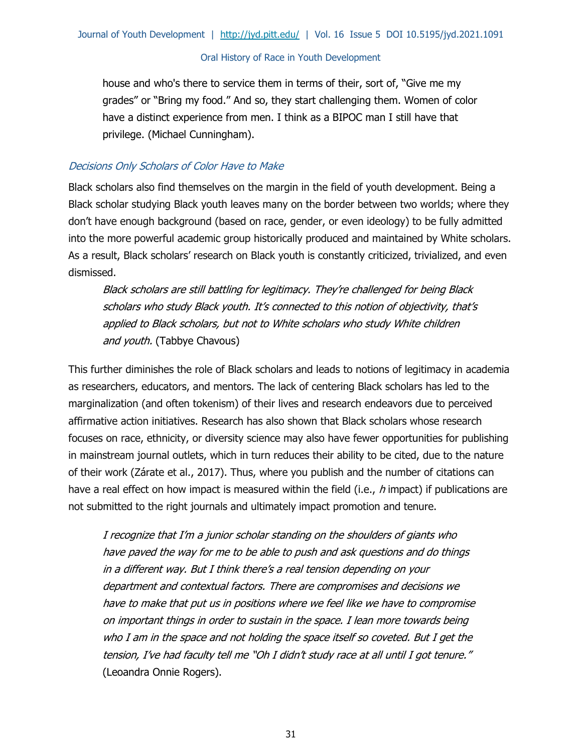house and who's there to service them in terms of their, sort of, "Give me my grades" or "Bring my food." And so, they start challenging them. Women of color have a distinct experience from men. I think as a BIPOC man I still have that privilege. (Michael Cunningham).

# Decisions Only Scholars of Color Have to Make

Black scholars also find themselves on the margin in the field of youth development. Being a Black scholar studying Black youth leaves many on the border between two worlds; where they don't have enough background (based on race, gender, or even ideology) to be fully admitted into the more powerful academic group historically produced and maintained by White scholars. As a result, Black scholars' research on Black youth is constantly criticized, trivialized, and even dismissed.

Black scholars are still battling for legitimacy. They're challenged for being Black scholars who study Black youth. It's connected to this notion of objectivity, that's applied to Black scholars, but not to White scholars who study White children and youth. (Tabbye Chavous)

This further diminishes the role of Black scholars and leads to notions of legitimacy in academia as researchers, educators, and mentors. The lack of centering Black scholars has led to the marginalization (and often tokenism) of their lives and research endeavors due to perceived affirmative action initiatives. Research has also shown that Black scholars whose research focuses on race, ethnicity, or diversity science may also have fewer opportunities for publishing in mainstream journal outlets, which in turn reduces their ability to be cited, due to the nature of their work (Zárate et al., 2017). Thus, where you publish and the number of citations can have a real effect on how impact is measured within the field (i.e.,  $h$  impact) if publications are not submitted to the right journals and ultimately impact promotion and tenure.

I recognize that I'm a junior scholar standing on the shoulders of giants who have paved the way for me to be able to push and ask questions and do things in a different way. But I think there's a real tension depending on your department and contextual factors. There are compromises and decisions we have to make that put us in positions where we feel like we have to compromise on important things in order to sustain in the space. I lean more towards being who I am in the space and not holding the space itself so coveted. But I get the tension, I've had faculty tell me "Oh I didn't study race at all until I got tenure." (Leoandra Onnie Rogers).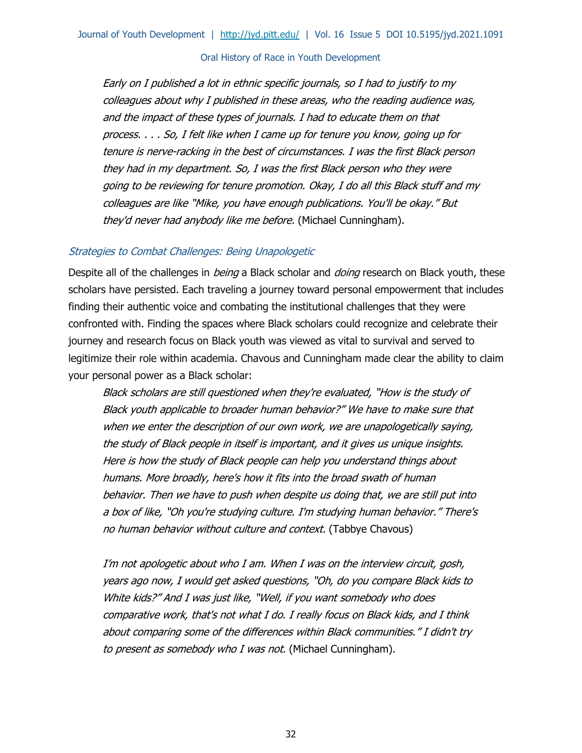Early on I published a lot in ethnic specific journals, so I had to justify to my colleagues about why I published in these areas, who the reading audience was, and the impact of these types of journals. I had to educate them on that process. . . . So, I felt like when I came up for tenure you know, going up for tenure is nerve-racking in the best of circumstances. I was the first Black person they had in my department. So, I was the first Black person who they were going to be reviewing for tenure promotion. Okay, I do all this Black stuff and my colleagues are like "Mike, you have enough publications. You'll be okay." But they'd never had anybody like me before. (Michael Cunningham).

#### Strategies to Combat Challenges: Being Unapologetic

Despite all of the challenges in *being* a Black scholar and *doing* research on Black youth, these scholars have persisted. Each traveling a journey toward personal empowerment that includes finding their authentic voice and combating the institutional challenges that they were confronted with. Finding the spaces where Black scholars could recognize and celebrate their journey and research focus on Black youth was viewed as vital to survival and served to legitimize their role within academia. Chavous and Cunningham made clear the ability to claim your personal power as a Black scholar:

Black scholars are still questioned when they're evaluated, "How is the study of Black youth applicable to broader human behavior?" We have to make sure that when we enter the description of our own work, we are unapologetically saying, the study of Black people in itself is important, and it gives us unique insights. Here is how the study of Black people can help you understand things about humans. More broadly, here's how it fits into the broad swath of human behavior. Then we have to push when despite us doing that, we are still put into a box of like, "Oh you're studying culture. I'm studying human behavior." There's no human behavior without culture and context. (Tabbye Chavous)

I'm not apologetic about who I am. When I was on the interview circuit, gosh, years ago now, I would get asked questions, "Oh, do you compare Black kids to White kids?" And I was just like, "Well, if you want somebody who does comparative work, that's not what I do. I really focus on Black kids, and I think about comparing some of the differences within Black communities." I didn't try to present as somebody who I was not. (Michael Cunningham).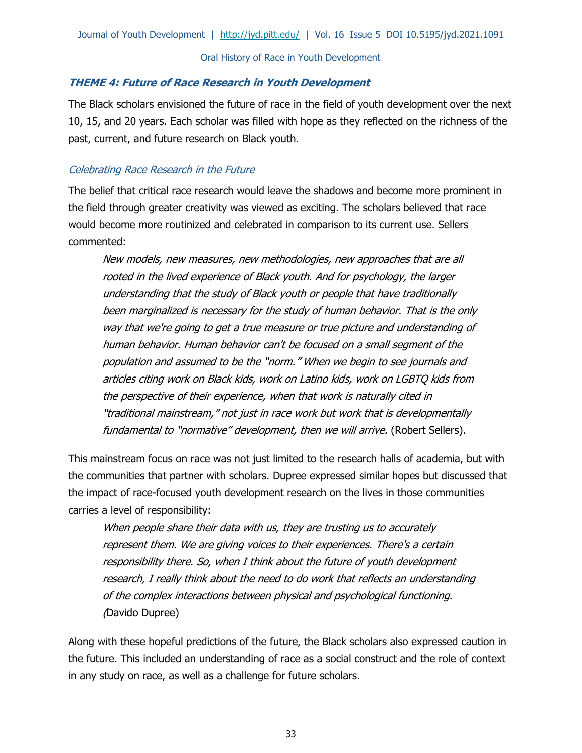### **THEME 4: Future of Race Research in Youth Development**

The Black scholars envisioned the future of race in the field of youth development over the next 10, 15, and 20 years. Each scholar was filled with hope as they reflected on the richness of the past, current, and future research on Black youth.

# Celebrating Race Research in the Future

The belief that critical race research would leave the shadows and become more prominent in the field through greater creativity was viewed as exciting. The scholars believed that race would become more routinized and celebrated in comparison to its current use. Sellers commented:

New models, new measures, new methodologies, new approaches that are all rooted in the lived experience of Black youth. And for psychology, the larger understanding that the study of Black youth or people that have traditionally been marginalized is necessary for the study of human behavior. That is the only way that we're going to get a true measure or true picture and understanding of human behavior. Human behavior can't be focused on a small segment of the population and assumed to be the "norm." When we begin to see journals and articles citing work on Black kids, work on Latino kids, work on LGBTQ kids from the perspective of their experience, when that work is naturally cited in "traditional mainstream," not just in race work but work that is developmentally fundamental to "normative" development, then we will arrive. (Robert Sellers).

This mainstream focus on race was not just limited to the research halls of academia, but with the communities that partner with scholars. Dupree expressed similar hopes but discussed that the impact of race-focused youth development research on the lives in those communities carries a level of responsibility:

When people share their data with us, they are trusting us to accurately represent them. We are giving voices to their experiences. There's a certain responsibility there. So, when I think about the future of youth development research, I really think about the need to do work that reflects an understanding of the complex interactions between physical and psychological functioning. (Davido Dupree)

Along with these hopeful predictions of the future, the Black scholars also expressed caution in the future. This included an understanding of race as a social construct and the role of context in any study on race, as well as a challenge for future scholars.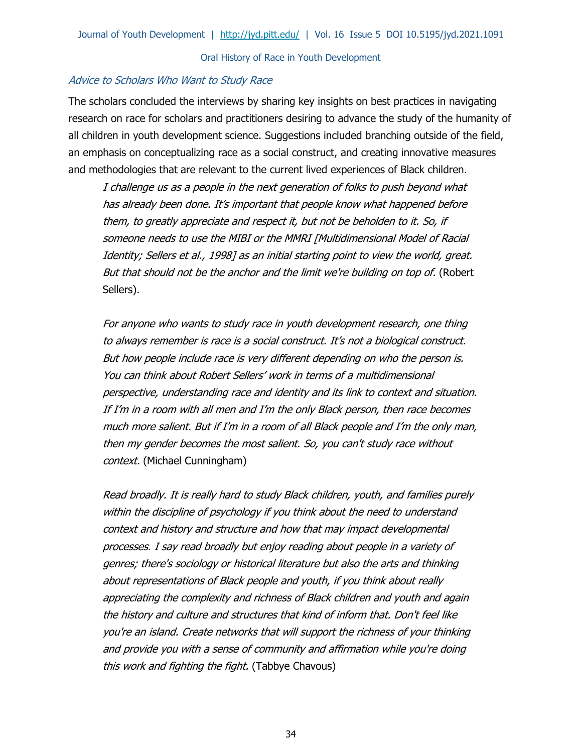#### Advice to Scholars Who Want to Study Race

The scholars concluded the interviews by sharing key insights on best practices in navigating research on race for scholars and practitioners desiring to advance the study of the humanity of all children in youth development science. Suggestions included branching outside of the field, an emphasis on conceptualizing race as a social construct, and creating innovative measures and methodologies that are relevant to the current lived experiences of Black children.

I challenge us as a people in the next generation of folks to push beyond what has already been done. It's important that people know what happened before them, to greatly appreciate and respect it, but not be beholden to it. So, if someone needs to use the MIBI or the MMRI [Multidimensional Model of Racial Identity; Sellers et al., 1998] as an initial starting point to view the world, great. But that should not be the anchor and the limit we're building on top of. (Robert Sellers).

For anyone who wants to study race in youth development research, one thing to always remember is race is a social construct. It's not a biological construct. But how people include race is very different depending on who the person is. You can think about Robert Sellers' work in terms of a multidimensional perspective, understanding race and identity and its link to context and situation. If I'm in a room with all men and I'm the only Black person, then race becomes much more salient. But if I'm in a room of all Black people and I'm the only man, then my gender becomes the most salient. So, you can't study race without context. (Michael Cunningham)

Read broadly. It is really hard to study Black children, youth, and families purely within the discipline of psychology if you think about the need to understand context and history and structure and how that may impact developmental processes. I say read broadly but enjoy reading about people in a variety of genres; there's sociology or historical literature but also the arts and thinking about representations of Black people and youth, if you think about really appreciating the complexity and richness of Black children and youth and again the history and culture and structures that kind of inform that. Don't feel like you're an island. Create networks that will support the richness of your thinking and provide you with a sense of community and affirmation while you're doing this work and fighting the fight. (Tabbye Chavous)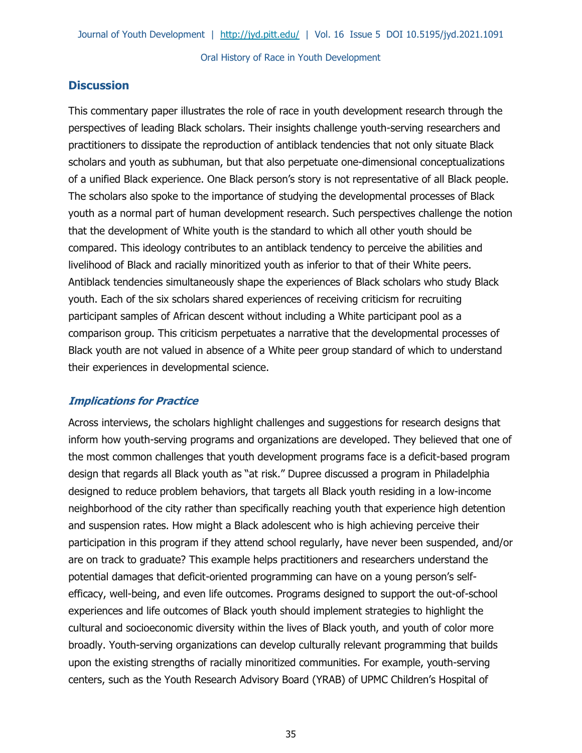# **Discussion**

This commentary paper illustrates the role of race in youth development research through the perspectives of leading Black scholars. Their insights challenge youth-serving researchers and practitioners to dissipate the reproduction of antiblack tendencies that not only situate Black scholars and youth as subhuman, but that also perpetuate one-dimensional conceptualizations of a unified Black experience. One Black person's story is not representative of all Black people. The scholars also spoke to the importance of studying the developmental processes of Black youth as a normal part of human development research. Such perspectives challenge the notion that the development of White youth is the standard to which all other youth should be compared. This ideology contributes to an antiblack tendency to perceive the abilities and livelihood of Black and racially minoritized youth as inferior to that of their White peers. Antiblack tendencies simultaneously shape the experiences of Black scholars who study Black youth. Each of the six scholars shared experiences of receiving criticism for recruiting participant samples of African descent without including a White participant pool as a comparison group. This criticism perpetuates a narrative that the developmental processes of Black youth are not valued in absence of a White peer group standard of which to understand their experiences in developmental science.

# **Implications for Practice**

Across interviews, the scholars highlight challenges and suggestions for research designs that inform how youth-serving programs and organizations are developed. They believed that one of the most common challenges that youth development programs face is a deficit-based program design that regards all Black youth as "at risk." Dupree discussed a program in Philadelphia designed to reduce problem behaviors, that targets all Black youth residing in a low-income neighborhood of the city rather than specifically reaching youth that experience high detention and suspension rates. How might a Black adolescent who is high achieving perceive their participation in this program if they attend school regularly, have never been suspended, and/or are on track to graduate? This example helps practitioners and researchers understand the potential damages that deficit-oriented programming can have on a young person's selfefficacy, well-being, and even life outcomes. Programs designed to support the out-of-school experiences and life outcomes of Black youth should implement strategies to highlight the cultural and socioeconomic diversity within the lives of Black youth, and youth of color more broadly. Youth-serving organizations can develop culturally relevant programming that builds upon the existing strengths of racially minoritized communities. For example, youth-serving centers, such as the Youth Research Advisory Board (YRAB) of UPMC Children's Hospital of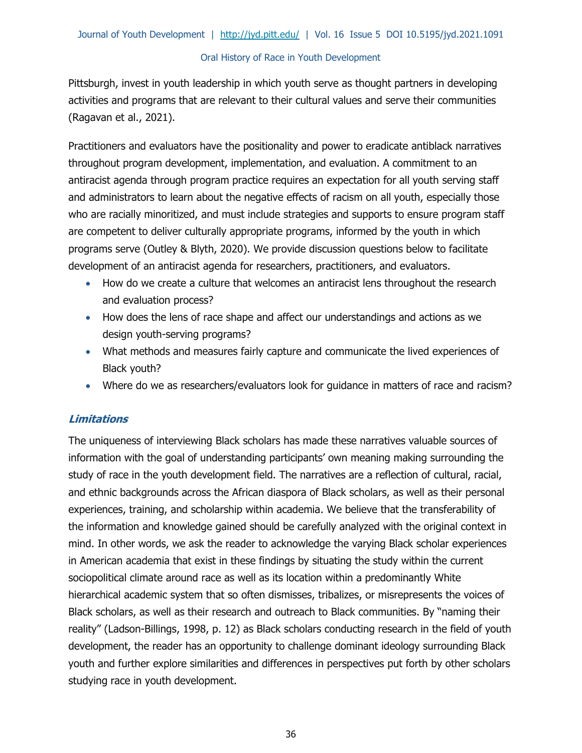Pittsburgh, invest in youth leadership in which youth serve as thought partners in developing activities and programs that are relevant to their cultural values and serve their communities (Ragavan et al., 2021).

Practitioners and evaluators have the positionality and power to eradicate antiblack narratives throughout program development, implementation, and evaluation. A commitment to an antiracist agenda through program practice requires an expectation for all youth serving staff and administrators to learn about the negative effects of racism on all youth, especially those who are racially minoritized, and must include strategies and supports to ensure program staff are competent to deliver culturally appropriate programs, informed by the youth in which programs serve (Outley & Blyth, 2020). We provide discussion questions below to facilitate development of an antiracist agenda for researchers, practitioners, and evaluators.

- How do we create a culture that welcomes an antiracist lens throughout the research and evaluation process?
- How does the lens of race shape and affect our understandings and actions as we design youth-serving programs?
- What methods and measures fairly capture and communicate the lived experiences of Black youth?
- Where do we as researchers/evaluators look for guidance in matters of race and racism?

# **Limitations**

The uniqueness of interviewing Black scholars has made these narratives valuable sources of information with the goal of understanding participants' own meaning making surrounding the study of race in the youth development field. The narratives are a reflection of cultural, racial, and ethnic backgrounds across the African diaspora of Black scholars, as well as their personal experiences, training, and scholarship within academia. We believe that the transferability of the information and knowledge gained should be carefully analyzed with the original context in mind. In other words, we ask the reader to acknowledge the varying Black scholar experiences in American academia that exist in these findings by situating the study within the current sociopolitical climate around race as well as its location within a predominantly White hierarchical academic system that so often dismisses, tribalizes, or misrepresents the voices of Black scholars, as well as their research and outreach to Black communities. By "naming their reality" (Ladson-Billings, 1998, p. 12) as Black scholars conducting research in the field of youth development, the reader has an opportunity to challenge dominant ideology surrounding Black youth and further explore similarities and differences in perspectives put forth by other scholars studying race in youth development.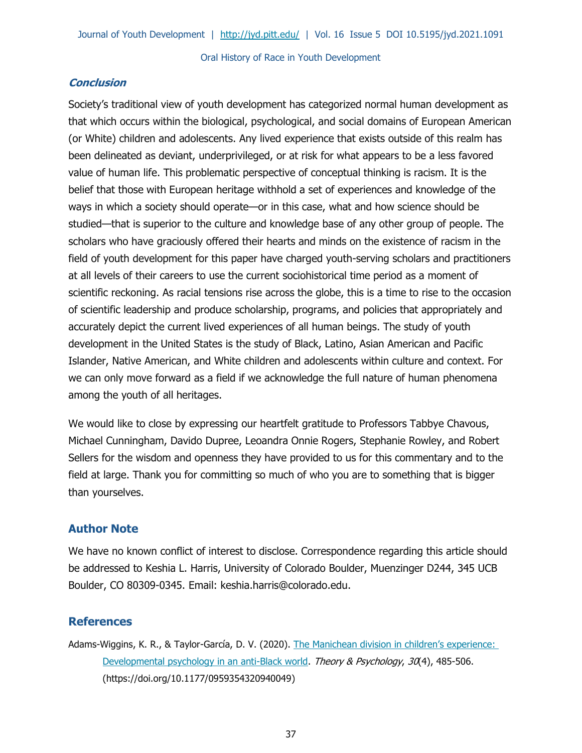### **Conclusion**

Society's traditional view of youth development has categorized normal human development as that which occurs within the biological, psychological, and social domains of European American (or White) children and adolescents. Any lived experience that exists outside of this realm has been delineated as deviant, underprivileged, or at risk for what appears to be a less favored value of human life. This problematic perspective of conceptual thinking is racism. It is the belief that those with European heritage withhold a set of experiences and knowledge of the ways in which a society should operate—or in this case, what and how science should be studied—that is superior to the culture and knowledge base of any other group of people. The scholars who have graciously offered their hearts and minds on the existence of racism in the field of youth development for this paper have charged youth-serving scholars and practitioners at all levels of their careers to use the current sociohistorical time period as a moment of scientific reckoning. As racial tensions rise across the globe, this is a time to rise to the occasion of scientific leadership and produce scholarship, programs, and policies that appropriately and accurately depict the current lived experiences of all human beings. The study of youth development in the United States is the study of Black, Latino, Asian American and Pacific Islander, Native American, and White children and adolescents within culture and context. For we can only move forward as a field if we acknowledge the full nature of human phenomena among the youth of all heritages.

We would like to close by expressing our heartfelt gratitude to Professors Tabbye Chavous, Michael Cunningham, Davido Dupree, Leoandra Onnie Rogers, Stephanie Rowley, and Robert Sellers for the wisdom and openness they have provided to us for this commentary and to the field at large. Thank you for committing so much of who you are to something that is bigger than yourselves.

# **Author Note**

We have no known conflict of interest to disclose. Correspondence regarding this article should be addressed to Keshia L. Harris, University of Colorado Boulder, Muenzinger D244, 345 UCB Boulder, CO 80309-0345. Email: keshia.harris@colorado.edu.

# **References**

Adams-Wiggins, K. R., & Taylor-García, D. V. (2020). [The Manichean division in children's experience:](https://doi.org/10.1177/0959354320940049)  [Developmental psychology in an anti-Black world.](https://doi.org/10.1177/0959354320940049) Theory & Psychology, 30(4), 485-506. (https://doi.org/10.1177/0959354320940049)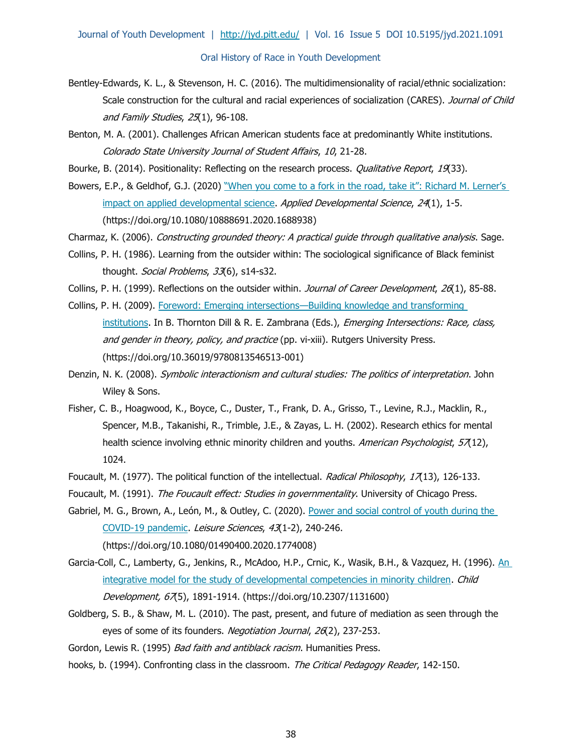- Bentley-Edwards, K. L., & Stevenson, H. C. (2016). The multidimensionality of racial/ethnic socialization: Scale construction for the cultural and racial experiences of socialization (CARES). Journal of Child and Family Studies, 25(1), 96-108.
- Benton, M. A. (2001). Challenges African American students face at predominantly White institutions. Colorado State University Journal of Student Affairs, 10, 21-28.
- Bourke, B. (2014). Positionality: Reflecting on the research process. *Qualitative Report*, 19(33).
- Bowers, E.P., & Geldhof, G.J. (2020) ["When you come to a fork in the road, take it": Richard M. Lerner's](https://doi.org/10.1080/10888691.2020.1688938)  [impact on applied developmental science.](https://doi.org/10.1080/10888691.2020.1688938) Applied Developmental Science, 24(1), 1-5. (https://doi.org/10.1080/10888691.2020.1688938)
- Charmaz, K. (2006). Constructing grounded theory: A practical guide through qualitative analysis. Sage.
- Collins, P. H. (1986). Learning from the outsider within: The sociological significance of Black feminist thought. Social Problems, 33(6), s14-s32.
- Collins, P. H. (1999). Reflections on the outsider within. Journal of Career Development, 26(1), 85-88.
- Collins, P. H. (2009). Foreword: Emerging intersections—[Building knowledge and transforming](https://doi.org/10.36019/9780813546513-001)  [institutions.](https://doi.org/10.36019/9780813546513-001) In B. Thornton Dill & R. E. Zambrana (Eds.), *Emerging Intersections: Race, class,* and gender in theory, policy, and practice (pp. vi-xiii). Rutgers University Press. (https://doi.org/10.36019/9780813546513-001)
- Denzin, N. K. (2008). Symbolic interactionism and cultural studies: The politics of interpretation. John Wiley & Sons.
- Fisher, C. B., Hoagwood, K., Boyce, C., Duster, T., Frank, D. A., Grisso, T., Levine, R.J., Macklin, R., Spencer, M.B., Takanishi, R., Trimble, J.E., & Zayas, L. H. (2002). Research ethics for mental health science involving ethnic minority children and youths. American Psychologist, 57(12), 1024.
- Foucault, M. (1977). The political function of the intellectual. [Radical Philosophy](https://philpapers.org/asearch.pl?pub=970), 17(13), 126-133.
- Foucault, M. (1991). The Foucault effect: Studies in governmentality. University of Chicago Press.
- Gabriel, M. G., Brown, A., León, M., & Outley, C. (2020). Power and social control of youth during the [COVID-19 pandemic.](https://doi.org/10.1080/01490400.2020.1774008) Leisure Sciences, 43(1-2), 240-246. (https://doi.org/10.1080/01490400.2020.1774008)
- Garcia-Coll, C., Lamberty, G., Jenkins, R., McAdoo, H.P., Crnic, K., Wasik, B.H., & Vazquez, H. (1996). An [integrative model for the study of developmental competencies in minority children.](https://doi.org/10.2307/1131600) Child Development, 67(5), 1891-1914. (https://doi.org/10.2307/1131600)
- Goldberg, S. B., & Shaw, M. L. (2010). The past, present, and future of mediation as seen through the eyes of some of its founders. Negotiation Journal, 26(2), 237-253.
- Gordon, Lewis R. (1995) Bad faith and antiblack racism. Humanities Press.
- hooks, b. (1994). Confronting class in the classroom. The Critical Pedagogy Reader, 142-150.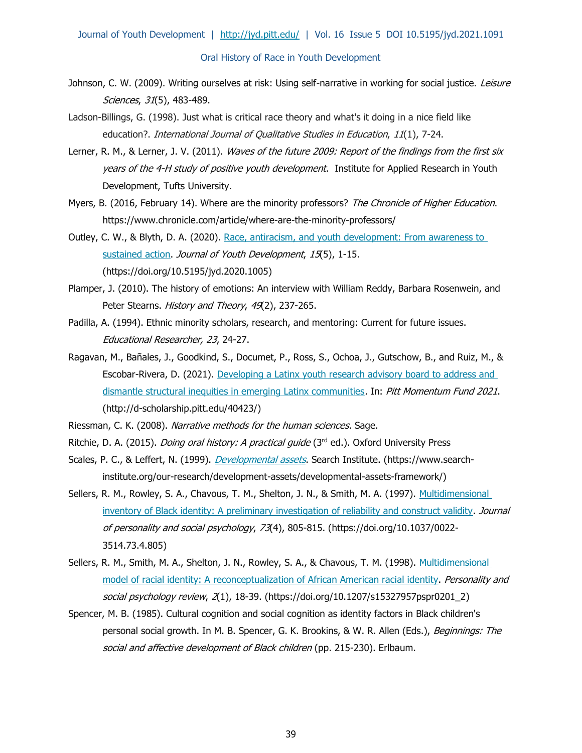Journal of Youth Development | <http://jyd.pitt.edu/>| Vol. 16 Issue 5 DOI 10.5195/jyd.2021.1091

#### Oral History of Race in Youth Development

- Johnson, C. W. (2009). Writing ourselves at risk: Using self-narrative in working for social justice. Leisure Sciences, 31(5), 483-489.
- Ladson-Billings, G. (1998). Just what is critical race theory and what's it doing in a nice field like education?. International Journal of Qualitative Studies in Education, 11(1), 7-24.
- Lerner, R. M., & Lerner, J. V. (2011). Waves of the future 2009: Report of the findings from the first six years of the 4-H study of positive youth development. Institute for Applied Research in Youth Development, Tufts University.
- Myers, B. (2016, February 14). Where are the minority professors? The Chronicle of Higher Education. https://www.chronicle.com/article/where-are-the-minority-professors/
- Outley, C. W., & Blyth, D. A. (2020). [Race, antiracism, and youth development: From awareness to](https://doi.org/10.5195/jyd.2020.1005)  [sustained action.](https://doi.org/10.5195/jyd.2020.1005) Journal of Youth Development, 15(5), 1-15. (https://doi.org/10.5195/jyd.2020.1005)
- Plamper, J. (2010). The history of emotions: An interview with William Reddy, Barbara Rosenwein, and Peter Stearns. History and Theory, 49(2), 237-265.
- Padilla, A. (1994). Ethnic minority scholars, research, and mentoring: Current for future issues. Educational Researcher, 23, 24-27.
- Ragavan, M., Bañales, J., Goodkind, S., Documet, P., Ross, S., Ochoa, J., Gutschow, B., and Ruiz, M., & Escobar-Rivera, D. (2021). [Developing a Latinx youth research advisory board to address and](http://d-scholarship.pitt.edu/40423/)  [dismantle structural inequities in emerging Latinx communities](http://d-scholarship.pitt.edu/40423/). In: Pitt Momentum Fund 2021. (http://d-scholarship.pitt.edu/40423/)
- Riessman, C. K. (2008). Narrative methods for the human sciences. Sage.
- Ritchie, D. A. (2015). *Doing oral history: A practical guide* (3<sup>rd</sup> ed.). Oxford University Press
- Scales, P. C., & Leffert, N. (1999). *[Developmental assets](https://www.search-institute.org/our-research/development-assets/developmental-assets-framework/)*. Search Institute. (https://www.searchinstitute.org/our-research/development-assets/developmental-assets-framework/)
- Sellers, R. M., Rowley, S. A., Chavous, T. M., Shelton, J. N., & Smith, M. A. (1997). [Multidimensional](https://doi.org/10.1037/0022-3514.73.4.805)  [inventory of Black identity: A preliminary investigation of reliability and construct validity.](https://doi.org/10.1037/0022-3514.73.4.805) Journal of personality and social psychology, 73(4), 805-815. (https://doi.org/10.1037/0022- 3514.73.4.805)
- Sellers, R. M., Smith, M. A., Shelton, J. N., Rowley, S. A., & Chavous, T. M. (1998). Multidimensional [model of racial identity: A reconceptualization of African American racial identity.](https://doi.org/10.1207/s15327957pspr0201_2) Personality and social psychology review, 2(1), 18-39. (https://doi.org/10.1207/s15327957pspr0201\_2)
- Spencer, M. B. (1985). Cultural cognition and social cognition as identity factors in Black children's personal social growth. In M. B. Spencer, G. K. Brookins, & W. R. Allen (Eds.), Beginnings: The social and affective development of Black children (pp. 215-230). Erlbaum.